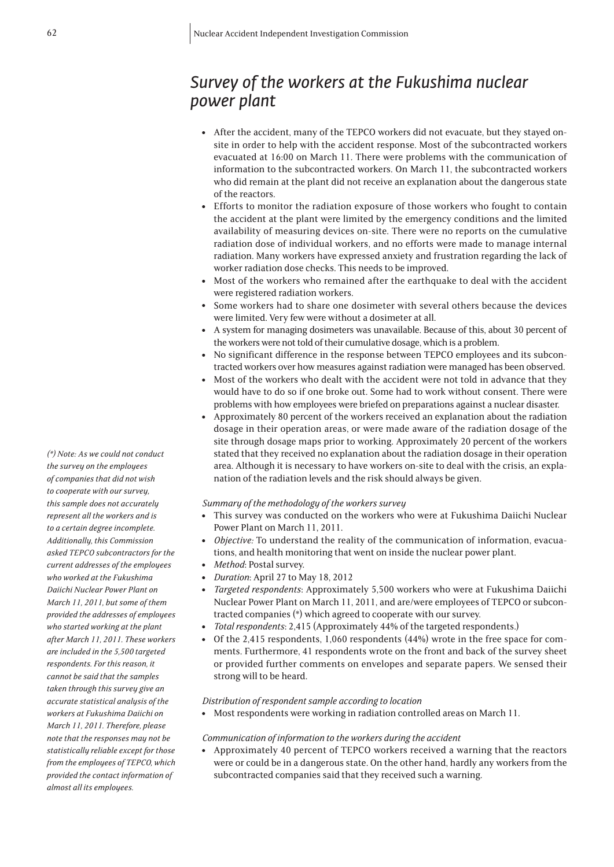# *Survey of the workers at the Fukushima nuclear power plant*

- <sup>l</sup> After the accident, many of the TEPCO workers did not evacuate, but they stayed onsite in order to help with the accident response. Most of the subcontracted workers evacuated at 16:00 on March 11. There were problems with the communication of information to the subcontracted workers. On March 11, the subcontracted workers who did remain at the plant did not receive an explanation about the dangerous state of the reactors.
- <sup>l</sup> Efforts to monitor the radiation exposure of those workers who fought to contain the accident at the plant were limited by the emergency conditions and the limited availability of measuring devices on-site. There were no reports on the cumulative radiation dose of individual workers, and no efforts were made to manage internal radiation. Many workers have expressed anxiety and frustration regarding the lack of worker radiation dose checks. This needs to be improved.
- Most of the workers who remained after the earthquake to deal with the accident were registered radiation workers.
- <sup>l</sup> Some workers had to share one dosimeter with several others because the devices were limited. Very few were without a dosimeter at all.
- A system for managing dosimeters was unavailable. Because of this, about 30 percent of the workers were not told of their cumulative dosage, which is a problem.
- <sup>l</sup> No significant difference in the response between TEPCO employees and its subcontracted workers over how measures against radiation were managed has been observed.
- Most of the workers who dealt with the accident were not told in advance that they would have to do so if one broke out. Some had to work without consent. There were problems with how employees were briefed on preparations against a nuclear disaster.
- <sup>l</sup> Approximately 80 percent of the workers received an explanation about the radiation dosage in their operation areas, or were made aware of the radiation dosage of the site through dosage maps prior to working. Approximately 20 percent of the workers stated that they received no explanation about the radiation dosage in their operation area. Although it is necessary to have workers on-site to deal with the crisis, an explanation of the radiation levels and the risk should always be given.

# *Summary of the methodology of the workers survey*

- This survey was conducted on the workers who were at Fukushima Daiichi Nuclear Power Plant on March 11, 2011.
- *Objective:* To understand the reality of the communication of information, evacuations, and health monitoring that went on inside the nuclear power plant.
- <sup>l</sup> *Method*: Postal survey.
- <sup>l</sup> *Duration*: April 27 to May 18, 2012
- <sup>l</sup> *Targeted respondents*: Approximately 5,500 workers who were at Fukushima Daiichi Nuclear Power Plant on March 11, 2011, and are/were employees of TEPCO or subcontracted companies (\*) which agreed to cooperate with our survey.
- <sup>l</sup> *Total respondents*: 2,415 (Approximately 44% of the targeted respondents.)
- Of the 2,415 respondents, 1,060 respondents (44%) wrote in the free space for comments. Furthermore, 41 respondents wrote on the front and back of the survey sheet or provided further comments on envelopes and separate papers. We sensed their strong will to be heard.

## *Distribution of respondent sample according to location*

• Most respondents were working in radiation controlled areas on March 11.

# *Communication of information to the workers during the accident*

• Approximately 40 percent of TEPCO workers received a warning that the reactors were or could be in a dangerous state. On the other hand, hardly any workers from the subcontracted companies said that they received such a warning.

*(\*) Note: As we could not conduct the survey on the employees of companies that did not wish to cooperate with our survey, this sample does not accurately represent all the workers and is to a certain degree incomplete. Additionally, this Commission asked TEPCO subcontractors for the current addresses of the employees who worked at the Fukushima Daiichi Nuclear Power Plant on March 11, 2011, but some of them provided the addresses of employees who started working at the plant after March 11, 2011. These workers are included in the 5,500 targeted respondents. For this reason, it cannot be said that the samples taken through this survey give an accurate statistical analysis of the workers at Fukushima Daiichi on March 11, 2011. Therefore, please note that the responses may not be statistically reliable except for those from the employees of TEPCO, which provided the contact information of almost all its employees.*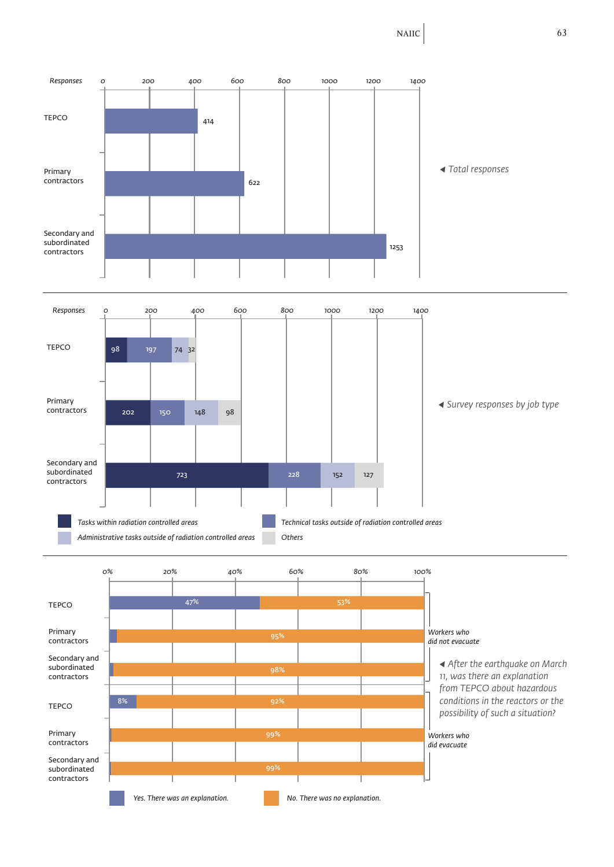NAIIC 63

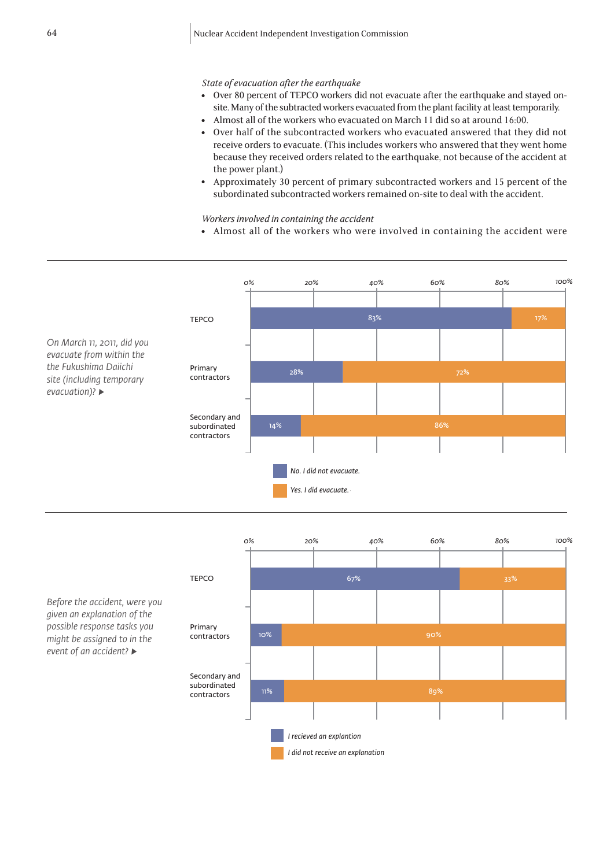# *State of evacuation after the earthquake*

- Over 80 percent of TEPCO workers did not evacuate after the earthquake and stayed onsite. Many of the subtracted workers evacuated from the plant facility at least temporarily.
- Almost all of the workers who evacuated on March 11 did so at around 16:00.
- Over half of the subcontracted workers who evacuated answered that they did not receive orders to evacuate. (This includes workers who answered that they went home because they received orders related to the earthquake, not because of the accident at the power plant.)
- <sup>l</sup> Approximately 30 percent of primary subcontracted workers and 15 percent of the subordinated subcontracted workers remained on-site to deal with the accident.

# *Workers involved in containing the accident*

• Almost all of the workers who were involved in containing the accident were





*Before the accident, were you given an explanation of the possible response tasks you might be assigned to in the event of an accident? ▶*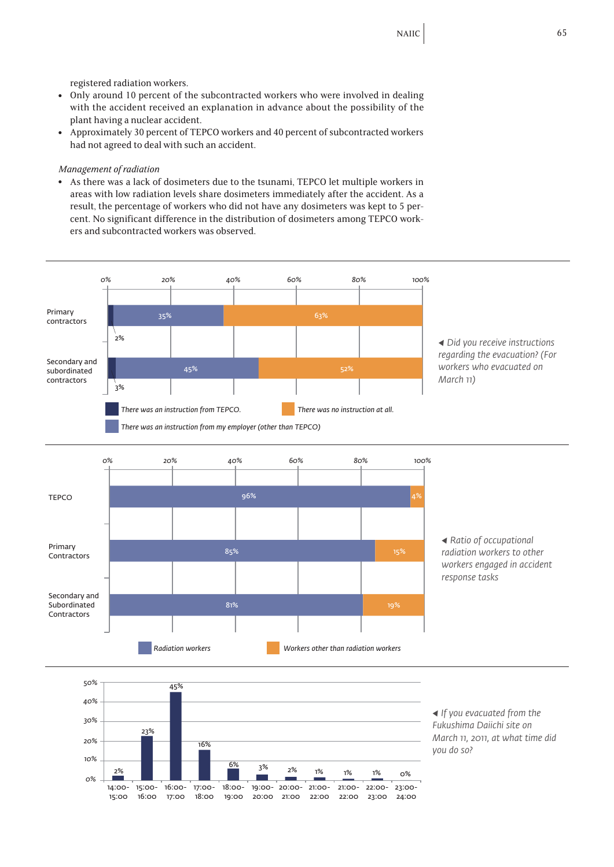registered radiation workers.

- Only around 10 percent of the subcontracted workers who were involved in dealing with the accident received an explanation in advance about the possibility of the plant having a nuclear accident.
- <sup>l</sup> Approximately 30 percent of TEPCO workers and 40 percent of subcontracted workers had not agreed to deal with such an accident.

## *Management of radiation*

• As there was a lack of dosimeters due to the tsunami, TEPCO let multiple workers in areas with low radiation levels share dosimeters immediately after the accident. As a result, the percentage of workers who did not have any dosimeters was kept to 5 percent. No significant difference in the distribution of dosimeters among TEPCO workers and subcontracted workers was observed.





*◀ If you evacuated from the Fukushima Daiichi site on March 11, 2011, at what time did you do so?*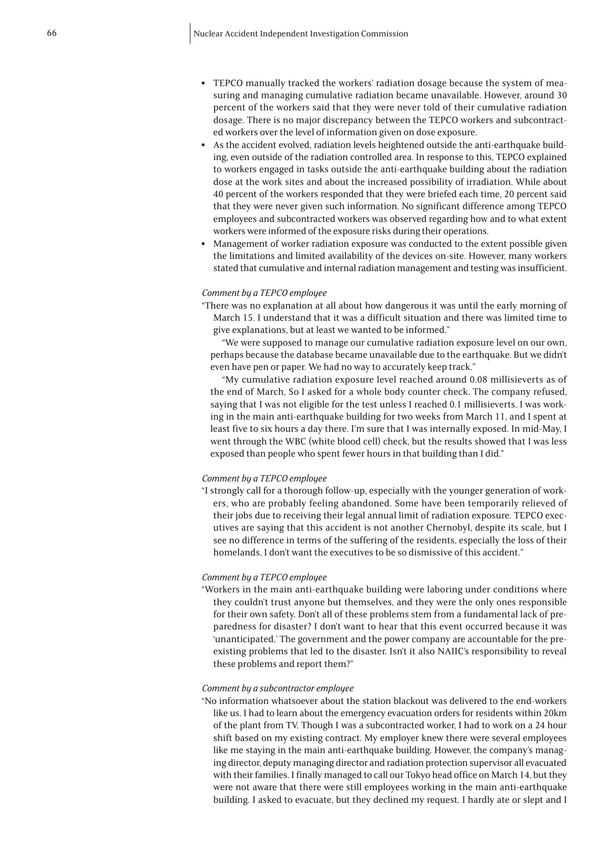- TEPCO manually tracked the workers' radiation dosage because the system of measuring and managing cumulative radiation became unavailable. However, around 30 percent of the workers said that they were never told of their cumulative radiation dosage. There is no major discrepancy between the TEPCO workers and subcontracted workers over the level of information given on dose exposure.
- As the accident evolved, radiation levels heightened outside the anti-earthquake building, even outside of the radiation controlled area. In response to this, TEPCO explained to workers engaged in tasks outside the anti-earthquake building about the radiation dose at the work sites and about the increased possibility of irradiation. While about 40 percent of the workers responded that they were briefed each time, 20 percent said that they were never given such information. No significant difference among TEPCO employees and subcontracted workers was observed regarding how and to what extent workers were informed of the exposure risks during their operations.
- Management of worker radiation exposure was conducted to the extent possible given the limitations and limited availability of the devices on-site. However, many workers stated that cumulative and internal radiation management and testing was insufficient.

## *Comment by a TEPCO employee*

"There was no explanation at all about how dangerous it was until the early morning of March 15. I understand that it was a difficult situation and there was limited time to give explanations, but at least we wanted to be informed."

"We were supposed to manage our cumulative radiation exposure level on our own, perhaps because the database became unavailable due to the earthquake. But we didn't even have pen or paper. We had no way to accurately keep track."

"My cumulative radiation exposure level reached around 0.08 millisieverts as of the end of March, So I asked for a whole body counter check. The company refused, saying that I was not eligible for the test unless I reached 0.1 millisieverts. I was working in the main anti-earthquake building for two weeks from March 11, and I spent at least five to six hours a day there. I'm sure that I was internally exposed. In mid-May, I went through the WBC (white blood cell) check, but the results showed that I was less exposed than people who spent fewer hours in that building than I did."

#### *Comment by a TEPCO employee*

"I strongly call for a thorough follow-up, especially with the younger generation of workers, who are probably feeling abandoned. Some have been temporarily relieved of their jobs due to receiving their legal annual limit of radiation exposure. TEPCO executives are saying that this accident is not another Chernobyl, despite its scale, but I see no difference in terms of the suffering of the residents, especially the loss of their homelands. I don't want the executives to be so dismissive of this accident."

#### *Comment by a TEPCO employee*

"Workers in the main anti-earthquake building were laboring under conditions where they couldn't trust anyone but themselves, and they were the only ones responsible for their own safety. Don't all of these problems stem from a fundamental lack of preparedness for disaster? I don't want to hear that this event occurred because it was 'unanticipated.' The government and the power company are accountable for the preexisting problems that led to the disaster. Isn't it also NAIIC's responsibility to reveal these problems and report them?"

## *Comment by a subcontractor employee*

"No information whatsoever about the station blackout was delivered to the end-workers like us. I had to learn about the emergency evacuation orders for residents within 20km of the plant from TV. Though I was a subcontracted worker, I had to work on a 24 hour shift based on my existing contract. My employer knew there were several employees like me staying in the main anti-earthquake building. However, the company's managing director, deputy managing director and radiation protection supervisor all evacuated with their families. I finally managed to call our Tokyo head office on March 14, but they were not aware that there were still employees working in the main anti-earthquake building. I asked to evacuate, but they declined my request. I hardly ate or slept and I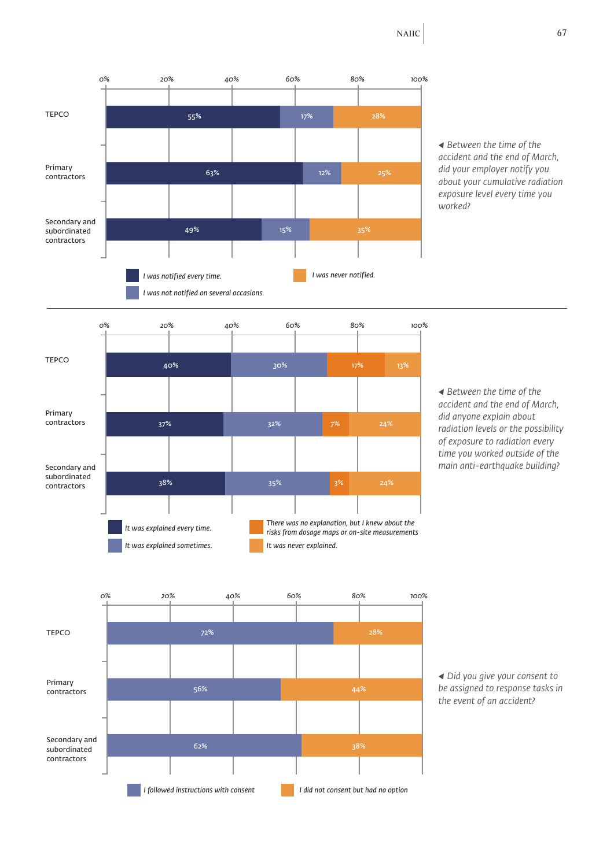

*◀ Between the time of the accident and the end of March, did your employer notify you about your cumulative radiation exposure level every time you worked?*



*◀ Between the time of the accident and the end of March, did anyone explain about radiation levels or the possibility of exposure to radiation every time you worked outside of the main anti-earthquake building?*



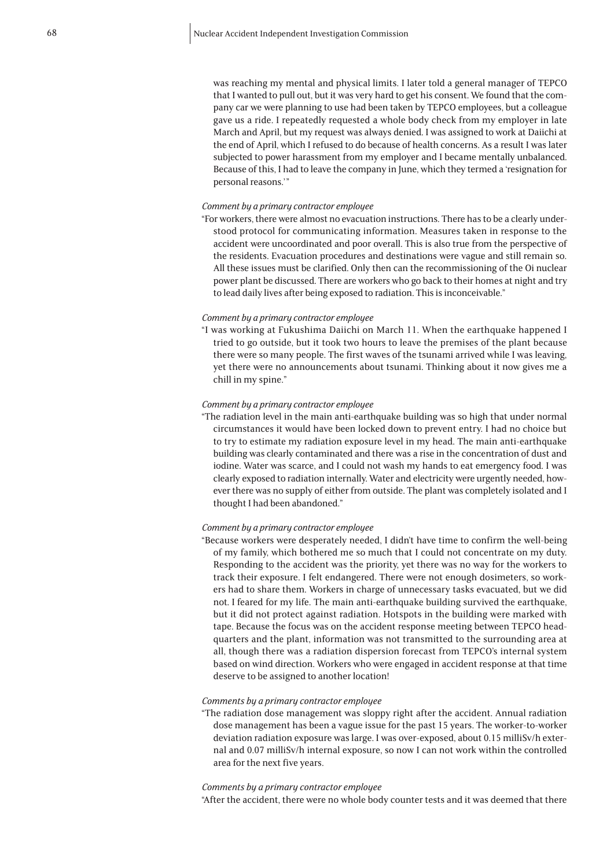was reaching my mental and physical limits. I later told a general manager of TEPCO that I wanted to pull out, but it was very hard to get his consent. We found that the company car we were planning to use had been taken by TEPCO employees, but a colleague gave us a ride. I repeatedly requested a whole body check from my employer in late March and April, but my request was always denied. I was assigned to work at Daiichi at the end of April, which I refused to do because of health concerns. As a result I was later subjected to power harassment from my employer and I became mentally unbalanced. Because of this, I had to leave the company in June, which they termed a 'resignation for personal reasons.'"

#### *Comment by a primary contractor employee*

"For workers, there were almost no evacuation instructions. There has to be a clearly understood protocol for communicating information. Measures taken in response to the accident were uncoordinated and poor overall. This is also true from the perspective of the residents. Evacuation procedures and destinations were vague and still remain so. All these issues must be clarified. Only then can the recommissioning of the Oi nuclear power plant be discussed. There are workers who go back to their homes at night and try to lead daily lives after being exposed to radiation. This is inconceivable."

#### *Comment by a primary contractor employee*

"I was working at Fukushima Daiichi on March 11. When the earthquake happened I tried to go outside, but it took two hours to leave the premises of the plant because there were so many people. The first waves of the tsunami arrived while I was leaving, yet there were no announcements about tsunami. Thinking about it now gives me a chill in my spine."

## *Comment by a primary contractor employee*

"The radiation level in the main anti-earthquake building was so high that under normal circumstances it would have been locked down to prevent entry. I had no choice but to try to estimate my radiation exposure level in my head. The main anti-earthquake building was clearly contaminated and there was a rise in the concentration of dust and iodine. Water was scarce, and I could not wash my hands to eat emergency food. I was clearly exposed to radiation internally. Water and electricity were urgently needed, however there was no supply of either from outside. The plant was completely isolated and I thought I had been abandoned."

## *Comment by a primary contractor employee*

"Because workers were desperately needed, I didn't have time to confirm the well-being of my family, which bothered me so much that I could not concentrate on my duty. Responding to the accident was the priority, yet there was no way for the workers to track their exposure. I felt endangered. There were not enough dosimeters, so workers had to share them. Workers in charge of unnecessary tasks evacuated, but we did not. I feared for my life. The main anti-earthquake building survived the earthquake, but it did not protect against radiation. Hotspots in the building were marked with tape. Because the focus was on the accident response meeting between TEPCO headquarters and the plant, information was not transmitted to the surrounding area at all, though there was a radiation dispersion forecast from TEPCO's internal system based on wind direction. Workers who were engaged in accident response at that time deserve to be assigned to another location!

#### *Comments by a primary contractor employee*

"The radiation dose management was sloppy right after the accident. Annual radiation dose management has been a vague issue for the past 15 years. The worker-to-worker deviation radiation exposure was large. I was over-exposed, about 0.15 milliSv/h external and 0.07 milliSv/h internal exposure, so now I can not work within the controlled area for the next five years.

## *Comments by a primary contractor employee*

"After the accident, there were no whole body counter tests and it was deemed that there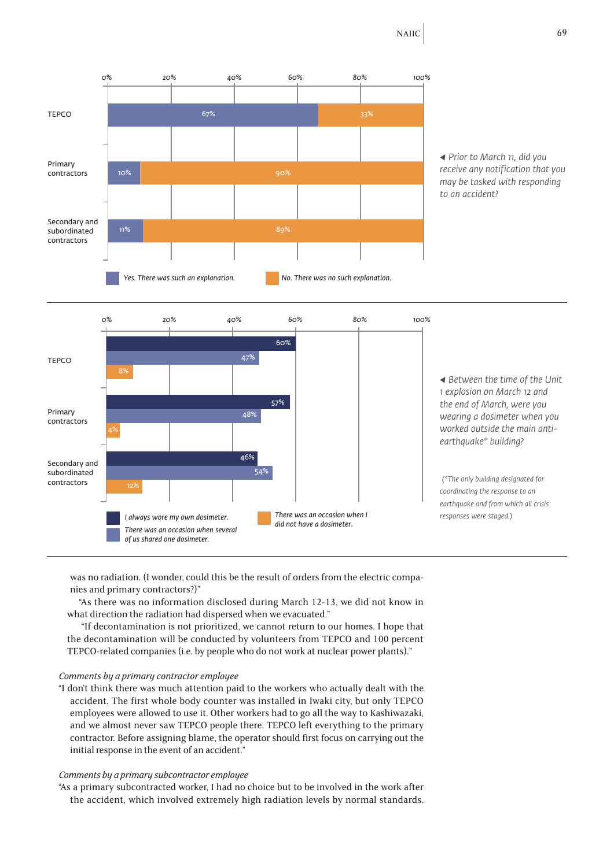



was no radiation. (I wonder, could this be the result of orders from the electric companies and primary contractors?)"

"As there was no information disclosed during March 12-13, we did not know in what direction the radiation had dispersed when we evacuated."

 "If decontamination is not prioritized, we cannot return to our homes. I hope that the decontamination will be conducted by volunteers from TEPCO and 100 percent TEPCO-related companies (i.e. by people who do not work at nuclear power plants)."

# *Comments by a primary contractor employee*

"I don't think there was much attention paid to the workers who actually dealt with the accident. The first whole body counter was installed in Iwaki city, but only TEPCO employees were allowed to use it. Other workers had to go all the way to Kashiwazaki, and we almost never saw TEPCO people there. TEPCO left everything to the primary contractor. Before assigning blame, the operator should first focus on carrying out the initial response in the event of an accident."

# *Comments by a primary subcontractor employee*

"As a primary subcontracted worker, I had no choice but to be involved in the work after the accident, which involved extremely high radiation levels by normal standards.